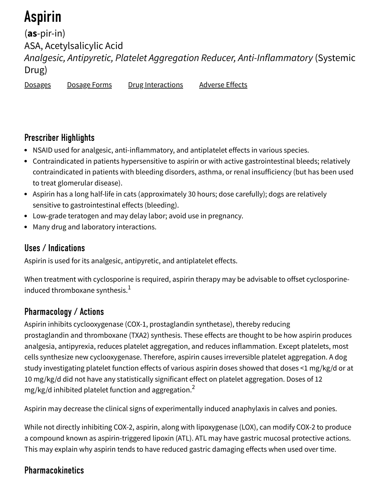# Aspirin

(**as**-pir-in) ASA, Acetylsalicylic Acid Analgesic, Antipyretic, Platelet Aggregation Reducer, Anti-Inflammatory (Systemic Drug)

Dosages Dosage Forms Drug Interactions Adverse Effects

### Prescriber Highlights

- NSAID used for analgesic, anti-inflammatory, and antiplatelet effects in various species.
- Contraindicated in patients hypersensitive to aspirin or with active gastrointestinal bleeds; relatively contraindicated in patients with bleeding disorders, asthma, or renal insufficiency (but has been used to treat glomerular disease).
- Aspirin has a long half-life in cats (approximately 30 hours; dose carefully); dogs are relatively sensitive to gastrointestinal effects (bleeding).
- Low-grade teratogen and may delay labor; avoid use in pregnancy.
- Many drug and laboratory interactions.

### Uses / Indications

Aspirin is used for its analgesic, antipyretic, and antiplatelet effects.

When treatment with cyclosporine is required, aspirin therapy may be advisable to offset cyclosporineinduced thromboxane synthesis. $^{\mathrm{1}}$ 

### Pharmacology / Actions

Aspirin inhibits cyclooxygenase (COX-1, prostaglandin synthetase), thereby reducing prostaglandin and thromboxane (TXA2) synthesis. These effects are thought to be how aspirin produces analgesia, antipyrexia, reduces platelet aggregation, and reduces inflammation. Except platelets, most cells synthesize new cyclooxygenase. Therefore, aspirin causes irreversible platelet aggregation. A dog study investigating platelet function effects of various aspirin doses showed that doses <1 mg/kg/d or at 10 mg/kg/d did not have any statistically significant effect on platelet aggregation. Doses of 12 mg/kg/d inhibited platelet function and aggregation. $^{\mathsf{2}}$ 

Aspirin may decrease the clinical signs of experimentally induced anaphylaxis in calves and ponies.

While not directly inhibiting COX-2, aspirin, along with lipoxygenase (LOX), can modify COX-2 to produce a compound known as aspirin-triggered lipoxin (ATL). ATL may have gastric mucosal protective actions. This may explain why aspirin tends to have reduced gastric damaging effects when used over time.

# **Pharmacokinetics**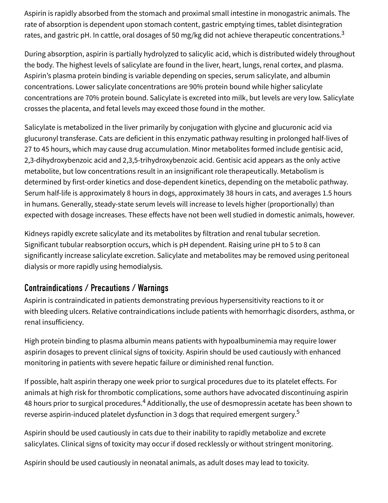Aspirin is rapidly absorbed from the stomach and proximal small intestine in monogastric animals. The rate of absorption is dependent upon stomach content, gastric emptying times, tablet disintegration rates, and gastric pH. In cattle, oral dosages of 50 mg/kg did not achieve therapeutic concentrations. $^3$ 

During absorption, aspirin is partially hydrolyzed to salicylic acid, which is distributed widely throughout the body. The highest levels of salicylate are found in the liver, heart, lungs, renal cortex, and plasma. Aspirin's plasma protein binding is variable depending on species, serum salicylate, and albumin concentrations. Lower salicylate concentrations are 90% protein bound while higher salicylate concentrations are 70% protein bound. Salicylate is excreted into milk, but levels are very low. Salicylate crosses the placenta, and fetal levels may exceed those found in the mother.

Salicylate is metabolized in the liver primarily by conjugation with glycine and glucuronic acid via glucuronyl transferase. Cats are deficient in this enzymatic pathway resulting in prolonged half-lives of 27 to 45 hours, which may cause drug accumulation. Minor metabolites formed include gentisic acid, 2,3-dihydroxybenzoic acid and 2,3,5-trihydroxybenzoic acid. Gentisic acid appears as the only active metabolite, but low concentrations result in an insignificant role therapeutically. Metabolism is determined by first-order kinetics and dose-dependent kinetics, depending on the metabolic pathway. Serum half-life is approximately 8 hours in dogs, approximately 38 hours in cats, and averages 1.5 hours in humans. Generally, steady-state serum levels will increase to levels higher (proportionally) than expected with dosage increases. These effects have not been well studied in domestic animals, however.

Kidneys rapidly excrete salicylate and its metabolites by filtration and renal tubular secretion. Significant tubular reabsorption occurs, which is pH dependent. Raising urine pH to 5 to 8 can significantly increase salicylate excretion. Salicylate and metabolites may be removed using peritoneal dialysis or more rapidly using hemodialysis.

### Contraindications / Precautions / Warnings

Aspirin is contraindicated in patients demonstrating previous hypersensitivity reactions to it or with bleeding ulcers. Relative contraindications include patients with hemorrhagic disorders, asthma, or renal insufficiency.

High protein binding to plasma albumin means patients with hypoalbuminemia may require lower aspirin dosages to prevent clinical signs of toxicity. Aspirin should be used cautiously with enhanced monitoring in patients with severe hepatic failure or diminished renal function.

If possible, halt aspirin therapy one week prior to surgical procedures due to its platelet effects. For animals at high risk for thrombotic complications, some authors have advocated discontinuing aspirin 48 hours prior to surgical procedures. $^{\rm 4}$  Additionally, the use of desmopressin acetate has been shown to reverse aspirin-induced platelet dysfunction in 3 dogs that required emergent surgery. 5

Aspirin should be used cautiously in cats due to their inability to rapidly metabolize and excrete salicylates. Clinical signs of toxicity may occur if dosed recklessly or without stringent monitoring.

Aspirin should be used cautiously in neonatal animals, as adult doses may lead to toxicity.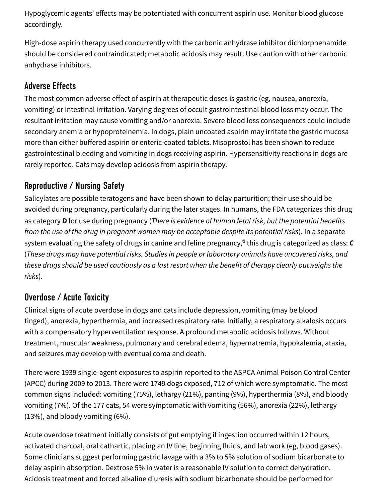Hypoglycemic agents' effects may be potentiated with concurrent aspirin use. Monitor blood glucose accordingly.

High-dose aspirin therapy used concurrently with the carbonic anhydrase inhibitor dichlorphenamide should be considered contraindicated; metabolic acidosis may result. Use caution with other carbonic anhydrase inhibitors.

### Adverse Effects

The most common adverse effect of aspirin at therapeutic doses is gastric (eg, nausea, anorexia, vomiting) or intestinal irritation. Varying degrees of occult gastrointestinal blood loss may occur. The resultant irritation may cause vomiting and/or anorexia. Severe blood loss consequences could include secondary anemia or hypoproteinemia. In dogs, plain uncoated aspirin may irritate the gastric mucosa more than either buffered aspirin or enteric-coated tablets. Misoprostol has been shown to reduce gastrointestinal bleeding and vomiting in dogs receiving aspirin. Hypersensitivity reactions in dogs are rarely reported. Cats may develop acidosis from aspirin therapy.

### Reproductive / Nursing Safety

Salicylates are possible teratogens and have been shown to delay parturition; their use should be avoided during pregnancy, particularly during the later stages. In humans, the FDA categorizes this drug as category **D** for use during pregnancy (There is evidence of human fetal risk, but the potential benefits from the use of the drug in pregnant women may be acceptable despite its potential risks). In a separate system evaluating the safety of drugs in canine and feline pregnancy,<sup>6</sup> this drug is categorized as class: **C** (These drugs may have potential risks. Studies in people or laboratory animals have uncovered risks, and these drugs should be used cautiously as a last resort when the benefit of therapy clearly outweighs the risks).

### Overdose / Acute Toxicity

Clinical signs of acute overdose in dogs and cats include depression, vomiting (may be blood tinged), anorexia, hyperthermia, and increased respiratory rate. Initially, a respiratory alkalosis occurs with a compensatory hyperventilation response. A profound metabolic acidosis follows. Without treatment, muscular weakness, pulmonary and cerebral edema, hypernatremia, hypokalemia, ataxia, and seizures may develop with eventual coma and death.

There were 1939 single-agent exposures to aspirin reported to the ASPCA Animal Poison Control Center (APCC) during 2009 to 2013. There were 1749 dogs exposed, 712 of which were symptomatic. The most common signs included: vomiting (75%), lethargy (21%), panting (9%), hyperthermia (8%), and bloody vomiting (7%). Of the 177 cats, 54 were symptomatic with vomiting (56%), anorexia (22%), lethargy (13%), and bloody vomiting (6%).

Acute overdose treatment initially consists of gut emptying if ingestion occurred within 12 hours, activated charcoal, oral cathartic, placing an IV line, beginning fluids, and lab work (eg, blood gases). Some clinicians suggest performing gastric lavage with a 3% to 5% solution of sodium bicarbonate to delay aspirin absorption. Dextrose 5% in water is a reasonable IV solution to correct dehydration. Acidosis treatment and forced alkaline diuresis with sodium bicarbonate should be performed for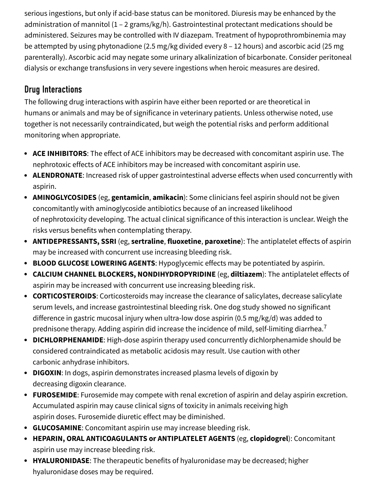serious ingestions, but only if acid-base status can be monitored. Diuresis may be enhanced by the administration of mannitol (1 – 2 grams/kg/h). Gastrointestinal protectant medications should be administered. Seizures may be controlled with IV diazepam. Treatment of hypoprothrombinemia may be attempted by using phytonadione (2.5 mg/kg divided every 8 – 12 hours) and ascorbic acid (25 mg parenterally). Ascorbic acid may negate some urinary alkalinization of bicarbonate. Consider peritoneal dialysis or exchange transfusions in very severe ingestions when heroic measures are desired.

# Drug Interactions

The following drug interactions with aspirin have either been reported or are theoretical in humans or animals and may be of significance in veterinary patients. Unless otherwise noted, use together is not necessarily contraindicated, but weigh the potential risks and perform additional monitoring when appropriate.

- **ACE INHIBITORS**: The effect of ACE inhibitors may be decreased with concomitant aspirin use. The nephrotoxic effects of ACE inhibitors may be increased with concomitant aspirin use.
- **ALENDRONATE**: Increased risk of upper gastrointestinal adverse effects when used concurrently with aspirin.
- **AMINOGLYCOSIDES** (eg, **gentamicin**, **amikacin**): Some clinicians feel aspirin should not be given concomitantly with aminoglycoside antibiotics because of an increased likelihood of nephrotoxicity developing. The actual clinical significance of this interaction is unclear. Weigh the risks versus benefits when contemplating therapy.
- **ANTIDEPRESSANTS, SSRI** (eg, **sertraline**, **fluoxetine**, **paroxetine**): The antiplatelet effects of aspirin may be increased with concurrent use increasing bleeding risk.
- **BLOOD GLUCOSE LOWERING AGENTS**: Hypoglycemic effects may be potentiated by aspirin.
- **CALCIUM CHANNEL BLOCKERS, NONDIHYDROPYRIDINE** (eg, **diltiazem**): The antiplatelet effects of aspirin may be increased with concurrent use increasing bleeding risk.
- **CORTICOSTEROIDS**: Corticosteroids may increase the clearance of salicylates, decrease salicylate serum levels, and increase gastrointestinal bleeding risk. One dog study showed no significant difference in gastric mucosal injury when ultra-low dose aspirin (0.5 mg/kg/d) was added to prednisone therapy. Adding aspirin did increase the incidence of mild, self-limiting diarrhea. $^7$
- **DICHLORPHENAMIDE**: High-dose aspirin therapy used concurrently dichlorphenamide should be considered contraindicated as metabolic acidosis may result. Use caution with other carbonic anhydrase inhibitors.
- **DIGOXIN:** In dogs, aspirin demonstrates increased plasma levels of digoxin by decreasing digoxin clearance.
- **FUROSEMIDE**: Furosemide may compete with renal excretion of aspirin and delay aspirin excretion. Accumulated aspirin may cause clinical signs of toxicity in animals receiving high aspirin doses. Furosemide diuretic effect may be diminished.
- **GLUCOSAMINE**: Concomitant aspirin use may increase bleeding risk.
- **HEPARIN, ORAL ANTICOAGULANTS or ANTIPLATELET AGENTS** (eg, **clopidogrel**): Concomitant aspirin use may increase bleeding risk.
- **HYALURONIDASE**: The therapeutic benefits of hyaluronidase may be decreased; higher hyaluronidase doses may be required.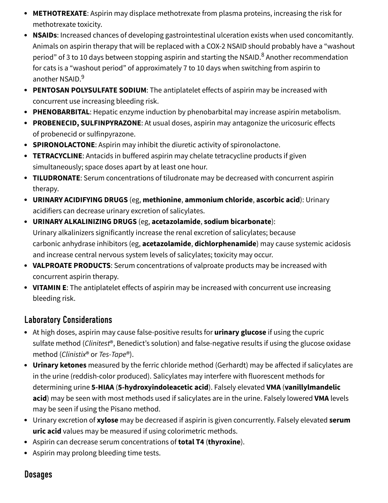- **METHOTREXATE**: Aspirin may displace methotrexate from plasma proteins, increasing the risk for methotrexate toxicity.
- **NSAIDs**: Increased chances of developing gastrointestinal ulceration exists when used concomitantly. Animals on aspirin therapy that will be replaced with a COX-2 NSAID should probably have a "washout period" of 3 to 10 days between stopping aspirin and starting the NSAID. $^8$  Another recommendation for cats is a "washout period" of approximately 7 to 10 days when switching from aspirin to another NSAID. 9
- **PENTOSAN POLYSULFATE SODIUM:** The antiplatelet effects of aspirin may be increased with concurrent use increasing bleeding risk.
- **PHENOBARBITAL**: Hepatic enzyme induction by phenobarbital may increase aspirin metabolism.
- **PROBENECID, SULFINPYRAZONE**: At usual doses, aspirin may antagonize the uricosuric effects of probenecid or sulfinpyrazone.
- **SPIRONOLACTONE**: Aspirin may inhibit the diuretic activity of spironolactone.
- **TETRACYCLINE:** Antacids in buffered aspirin may chelate tetracycline products if given simultaneously; space doses apart by at least one hour.
- **TILUDRONATE**: Serum concentrations of tiludronate may be decreased with concurrent aspirin therapy.
- **URINARY ACIDIFYING DRUGS** (eg, **methionine**, **ammonium chloride**, **ascorbic acid**): Urinary acidifiers can decrease urinary excretion of salicylates.
- **URINARY ALKALINIZING DRUGS** (eg, **acetazolamide**, **sodium bicarbonate**): Urinary alkalinizers significantly increase the renal excretion of salicylates; because carbonic anhydrase inhibitors (eg, **acetazolamide**, **dichlorphenamide**) may cause systemic acidosis and increase central nervous system levels of salicylates; toxicity may occur.
- **VALPROATE PRODUCTS**: Serum concentrations of valproate products may be increased with concurrent aspirin therapy.
- **VITAMIN E**: The antiplatelet effects of aspirin may be increased with concurrent use increasing bleeding risk.

# Laboratory Considerations

- At high doses, aspirin may cause false-positive results for **urinary glucose** if using the cupric sulfate method (Clinitest®, Benedict's solution) and false-negative results if using the glucose oxidase method (Clinistix® or Tes-Tape®).
- **Urinary ketones** measured by the ferric chloride method (Gerhardt) may be affected if salicylates are in the urine (reddish-color produced). Salicylates may interfere with fluorescent methods for determining urine **5-HIAA** (**5-hydroxyindoleacetic acid**). Falsely elevated **VMA** (**vanillylmandelic acid**) may be seen with most methods used if salicylates are in the urine. Falsely lowered **VMA** levels may be seen if using the Pisano method.
- Urinary excretion of **xylose** may be decreased if aspirin is given concurrently. Falsely elevated **serum uric acid** values may be measured if using colorimetric methods.
- Aspirin can decrease serum concentrations of **total T4** (**thyroxine**).
- Aspirin may prolong bleeding time tests.

### **Dosages**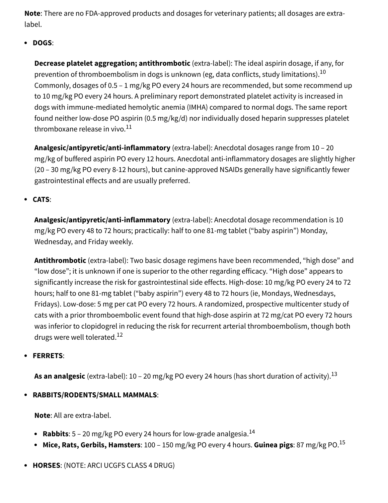**Note**: There are no FDA-approved products and dosages for veterinary patients; all dosages are extralabel.

#### **DOGS**:

**Decrease platelet aggregation; antithrombotic** (extra-label): The ideal aspirin dosage, if any, for prevention of thromboembolism in dogs is unknown (eg, data conflicts, study limitations). $^{\rm 10}$ Commonly, dosages of 0.5 – 1 mg/kg PO every 24 hours are recommended, but some recommend up to 10 mg/kg PO every 24 hours. A preliminary report demonstrated platelet activity is increased in dogs with immune-mediated hemolytic anemia (IMHA) compared to normal dogs. The same report found neither low-dose PO aspirin (0.5 mg/kg/d) nor individually dosed heparin suppresses platelet thromboxane release in vivo. $^{11}$ 

**Analgesic/antipyretic/anti-inflammatory** (extra-label): Anecdotal dosages range from 10 – 20 mg/kg of buffered aspirin PO every 12 hours. Anecdotal anti-inflammatory dosages are slightly higher (20 – 30 mg/kg PO every 8-12 hours), but canine-approved NSAIDs generally have significantly fewer gastrointestinal effects and are usually preferred.

#### **CATS**:

**Analgesic/antipyretic/anti-inflammatory** (extra-label): Anecdotal dosage recommendation is 10 mg/kg PO every 48 to 72 hours; practically: half to one 81-mg tablet ("baby aspirin") Monday, Wednesday, and Friday weekly.

**Antithrombotic** (extra-label): Two basic dosage regimens have been recommended, "high dose" and "low dose"; it is unknown if one is superior to the other regarding efficacy. "High dose" appears to significantly increase the risk for gastrointestinal side effects. High-dose: 10 mg/kg PO every 24 to 72 hours; half to one 81-mg tablet ("baby aspirin") every 48 to 72 hours (ie, Mondays, Wednesdays, Fridays). Low-dose: 5 mg per cat PO every 72 hours. A randomized, prospective multicenter study of cats with a prior thromboembolic event found that high-dose aspirin at 72 mg/cat PO every 72 hours was inferior to clopidogrel in reducing the risk for recurrent arterial thromboembolism, though both drugs were well tolerated. 12

#### **FERRETS**:

**As an analgesic** (extra-label): 10 – 20 mg/kg PO every 24 hours (has short duration of activity).<sup>13</sup>

#### **RABBITS/RODENTS/SMALL MAMMALS**:

**Note**: All are extra-label.

- **Rabbits**: 5 20 mg/kg PO every 24 hours for low-grade analgesia. 14
- **Mice, Rats, Gerbils, Hamsters**: 100 150 mg/kg PO every 4 hours. **Guinea pigs**: 87 mg/kg PO. 15

#### **HORSES**: (NOTE: ARCI UCGFS CLASS 4 DRUG)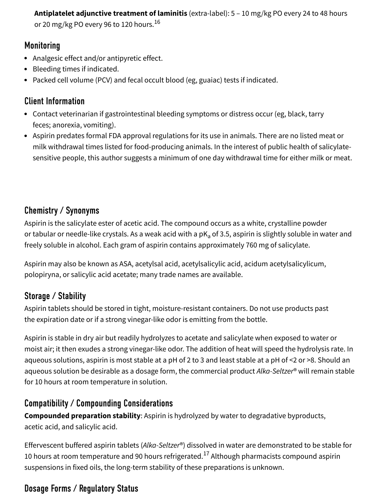**Antiplatelet adjunctive treatment of laminitis** (extra-label): 5 – 10 mg/kg PO every 24 to 48 hours or 20 mg/kg PO every 96 to 120 hours. 16

### **Monitoring**

- Analgesic effect and/or antipyretic effect.
- Bleeding times if indicated.
- Packed cell volume (PCV) and fecal occult blood (eg, guaiac) tests if indicated.

# Client Information

- Contact veterinarian if gastrointestinal bleeding symptoms or distress occur (eg, black, tarry feces; anorexia, vomiting).
- Aspirin predates formal FDA approval regulations for its use in animals. There are no listed meat or milk withdrawal times listed for food-producing animals. In the interest of public health of salicylatesensitive people, this author suggests a minimum of one day withdrawal time for either milk or meat.

# Chemistry / Synonyms

Aspirin is the salicylate ester of acetic acid. The compound occurs as a white, crystalline powder or tabular or needle-like crystals. As a weak acid with a pK<sub>a</sub> of 3.5, aspirin is slightly soluble in water and freely soluble in alcohol. Each gram of aspirin contains approximately 760 mg of salicylate.

Aspirin may also be known as ASA, acetylsal acid, acetylsalicylic acid, acidum acetylsalicylicum, polopiryna, or salicylic acid acetate; many trade names are available.

# Storage / Stability

Aspirin tablets should be stored in tight, moisture-resistant containers. Do not use products past the expiration date or if a strong vinegar-like odor is emitting from the bottle.

Aspirin is stable in dry air but readily hydrolyzes to acetate and salicylate when exposed to water or moist air; it then exudes a strong vinegar-like odor. The addition of heat will speed the hydrolysis rate. In aqueous solutions, aspirin is most stable at a pH of 2 to 3 and least stable at a pH of <2 or >8. Should an aqueous solution be desirable as a dosage form, the commercial product Alka-Seltzer® will remain stable for 10 hours at room temperature in solution.

# Compatibility / Compounding Considerations

**Compounded preparation stability**: Aspirin is hydrolyzed by water to degradative byproducts, acetic acid, and salicylic acid.

Effervescent buffered aspirin tablets (Alka-Seltzer®) dissolved in water are demonstrated to be stable for 10 hours at room temperature and 90 hours refrigerated. $^{17}$  Although pharmacists compound aspirin suspensions in fixed oils, the long-term stability of these preparations is unknown.

# Dosage Forms / Regulatory Status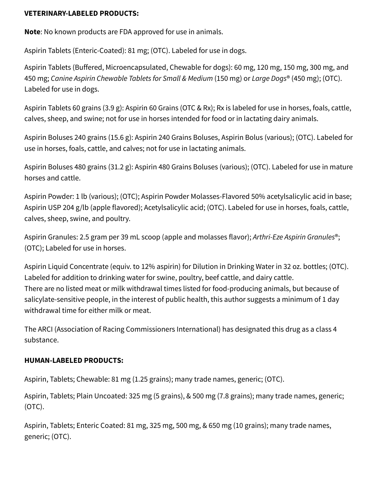#### **VETERINARY-LABELED PRODUCTS:**

**Note**: No known products are FDA approved for use in animals.

Aspirin Tablets (Enteric-Coated): 81 mg; (OTC). Labeled for use in dogs.

Aspirin Tablets (Buffered, Microencapsulated, Chewable for dogs): 60 mg, 120 mg, 150 mg, 300 mg, and 450 mg; Canine Aspirin Chewable Tablets for Small & Medium (150 mg) or Large Dogs® (450 mg); (OTC). Labeled for use in dogs.

Aspirin Tablets 60 grains (3.9 g): Aspirin 60 Grains (OTC & Rx); Rx is labeled for use in horses, foals, cattle, calves, sheep, and swine; not for use in horses intended for food or in lactating dairy animals.

Aspirin Boluses 240 grains (15.6 g): Aspirin 240 Grains Boluses, Aspirin Bolus (various); (OTC). Labeled for use in horses, foals, cattle, and calves; not for use in lactating animals.

Aspirin Boluses 480 grains (31.2 g): Aspirin 480 Grains Boluses (various); (OTC). Labeled for use in mature horses and cattle.

Aspirin Powder: 1 lb (various); (OTC); Aspirin Powder Molasses-Flavored 50% acetylsalicylic acid in base; Aspirin USP 204 g/lb (apple flavored); Acetylsalicylic acid; (OTC). Labeled for use in horses, foals, cattle, calves, sheep, swine, and poultry.

Aspirin Granules: 2.5 gram per 39 mL scoop (apple and molasses flavor); Arthri-Eze Aspirin Granules<sup>®</sup>; (OTC); Labeled for use in horses.

Aspirin Liquid Concentrate (equiv. to 12% aspirin) for Dilution in Drinking Water in 32 oz. bottles; (OTC). Labeled for addition to drinking water for swine, poultry, beef cattle, and dairy cattle. There are no listed meat or milk withdrawal times listed for food-producing animals, but because of salicylate-sensitive people, in the interest of public health, this author suggests a minimum of 1 day withdrawal time for either milk or meat.

The ARCI (Association of Racing Commissioners International) has designated this drug as a class 4 substance.

#### **HUMAN-LABELED PRODUCTS:**

Aspirin, Tablets; Chewable: 81 mg (1.25 grains); many trade names, generic; (OTC).

Aspirin, Tablets; Plain Uncoated: 325 mg (5 grains), & 500 mg (7.8 grains); many trade names, generic; (OTC).

Aspirin, Tablets; Enteric Coated: 81 mg, 325 mg, 500 mg, & 650 mg (10 grains); many trade names, generic; (OTC).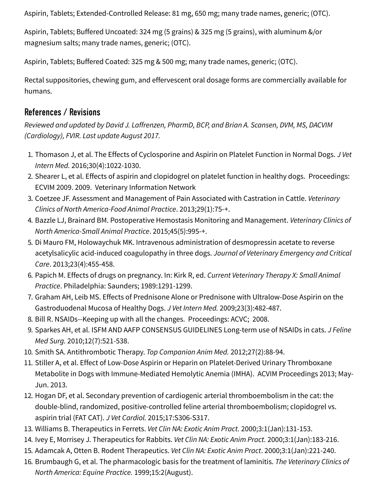Aspirin, Tablets; Extended-Controlled Release: 81 mg, 650 mg; many trade names, generic; (OTC).

Aspirin, Tablets; Buffered Uncoated: 324 mg (5 grains) & 325 mg (5 grains), with aluminum &/or magnesium salts; many trade names, generic; (OTC).

Aspirin, Tablets; Buffered Coated: 325 mg & 500 mg; many trade names, generic; (OTC).

Rectal suppositories, chewing gum, and effervescent oral dosage forms are commercially available for humans.

### References / Revisions

Reviewed and updated by David J. Laffrenzen, PharmD, BCP, and Brian A. Scansen, DVM, MS, DACVIM (Cardiology), FVIR. Last update August 2017.

- 1. Thomason J, et al. The Effects of Cyclosporine and Aspirin on Platelet Function in Normal Dogs. J Vet Intern Med. 2016;30(4):1022-1030.
- 2. Shearer L, et al. Effects of aspirin and clopidogrel on platelet function in healthy dogs. Proceedings: ECVIM 2009. 2009. Veterinary Information Network
- 3. Coetzee JF. Assessment and Management of Pain Associated with Castration in Cattle. Veterinary Clinics of North America-Food Animal Practice. 2013;29(1):75-+.
- 4. Bazzle LJ, Brainard BM. Postoperative Hemostasis Monitoring and Management. Veterinary Clinics of North America-Small Animal Practice. 2015;45(5):995-+.
- 5. Di Mauro FM, Holowaychuk MK. Intravenous administration of desmopressin acetate to reverse acetylsalicylic acid-induced coagulopathy in three dogs. Journal of Veterinary Emergency and Critical Care. 2013;23(4):455-458.
- 6. Papich M. Effects of drugs on pregnancy. In: Kirk R, ed. Current Veterinary Therapy X: Small Animal Practice. Philadelphia: Saunders; 1989:1291-1299.
- 7. Graham AH, Leib MS. Effects of Prednisone Alone or Prednisone with Ultralow-Dose Aspirin on the Gastroduodenal Mucosa of Healthy Dogs. J Vet Intern Med. 2009;23(3):482-487.
- 8. Bill R. NSAIDs--Keeping up with all the changes. Proceedings: ACVC; 2008.
- 9. Sparkes AH, et al. ISFM AND AAFP CONSENSUS GUIDELINES Long-term use of NSAIDs in cats. J Feline Med Surg. 2010;12(7):521-538.
- 10. Smith SA. Antithrombotic Therapy. Top Companion Anim Med. 2012;27(2):88-94.
- 11. Stiller A, et al. Effect of Low-Dose Aspirin or Heparin on Platelet-Derived Urinary Thromboxane Metabolite in Dogs with Immune-Mediated Hemolytic Anemia (IMHA). ACVIM Proceedings 2013; May-Jun. 2013.
- 12. Hogan DF, et al. Secondary prevention of cardiogenic arterial thromboembolism in the cat: the double-blind, randomized, positive-controlled feline arterial thromboembolism; clopidogrel vs. aspirin trial (FAT CAT). J Vet Cardiol. 2015;17:S306-S317.
- 13. Williams B. Therapeutics in Ferrets. Vet Clin NA: Exotic Anim Pract. 2000;3:1(Jan):131-153.
- 14. Ivey E, Morrisey J. Therapeutics for Rabbits. Vet Clin NA: Exotic Anim Pract. 2000;3:1(Jan):183-216.
- 15. Adamcak A, Otten B. Rodent Therapeutics. Vet Clin NA: Exotic Anim Pract. 2000;3:1(Jan):221-240.
- 16. Brumbaugh G, et al. The pharmacologic basis for the treatment of laminitis. The Veterinary Clinics of North America: Equine Practice. 1999;15:2(August).